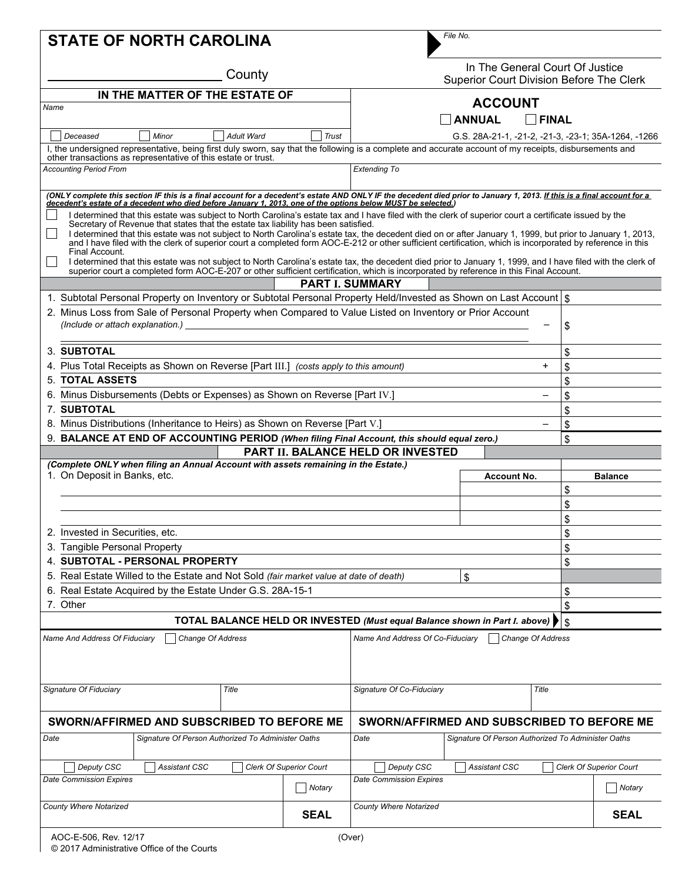| <b>STATE OF NORTH CAROLINA</b>                                                                                                                           |                                                                                    |            |                                |                                                                                                                                                                                                                                                                                         | File No.                                            |                                      |                                |  |  |
|----------------------------------------------------------------------------------------------------------------------------------------------------------|------------------------------------------------------------------------------------|------------|--------------------------------|-----------------------------------------------------------------------------------------------------------------------------------------------------------------------------------------------------------------------------------------------------------------------------------------|-----------------------------------------------------|--------------------------------------|--------------------------------|--|--|
| County                                                                                                                                                   |                                                                                    |            |                                | In The General Court Of Justice<br>Superior Court Division Before The Clerk                                                                                                                                                                                                             |                                                     |                                      |                                |  |  |
|                                                                                                                                                          | IN THE MATTER OF THE ESTATE OF                                                     |            |                                |                                                                                                                                                                                                                                                                                         |                                                     |                                      |                                |  |  |
| Name                                                                                                                                                     |                                                                                    |            |                                |                                                                                                                                                                                                                                                                                         | <b>ACCOUNT</b>                                      |                                      |                                |  |  |
|                                                                                                                                                          |                                                                                    |            |                                |                                                                                                                                                                                                                                                                                         | <b>ANNUAL</b>                                       | <b>FINAL</b>                         |                                |  |  |
| Deceased                                                                                                                                                 | Minor                                                                              | Adult Ward | Trust                          |                                                                                                                                                                                                                                                                                         | G.S. 28A-21-1, -21-2, -21-3, -23-1; 35A-1264, -1266 |                                      |                                |  |  |
| other transactions as representative of this estate or trust.                                                                                            |                                                                                    |            |                                | I, the undersigned representative, being first duly sworn, say that the following is a complete and accurate account of my receipts, disbursements and                                                                                                                                  |                                                     |                                      |                                |  |  |
| <b>Accounting Period From</b>                                                                                                                            |                                                                                    |            |                                | <b>Extending To</b>                                                                                                                                                                                                                                                                     |                                                     |                                      |                                |  |  |
|                                                                                                                                                          |                                                                                    |            |                                |                                                                                                                                                                                                                                                                                         |                                                     |                                      |                                |  |  |
|                                                                                                                                                          |                                                                                    |            |                                | (ONLY complete this section IF this is a final account for a decedent's estate AND ONLY IF the decedent died prior to January 1, 2013. If this is a final account for a<br>decedent's estate of a decedent who died before January 1, 2013, one of the options below MUST be selected.) |                                                     |                                      |                                |  |  |
|                                                                                                                                                          |                                                                                    |            |                                | I determined that this estate was subject to North Carolina's estate tax and I have filed with the clerk of superior court a certificate issued by the                                                                                                                                  |                                                     |                                      |                                |  |  |
|                                                                                                                                                          | Secretary of Revenue that states that the estate tax liability has been satisfied. |            |                                | I determined that this estate was not subject to North Carolina's estate tax, the decedent died on or after January 1, 1999, but prior to January 1, 2013,                                                                                                                              |                                                     |                                      |                                |  |  |
|                                                                                                                                                          |                                                                                    |            |                                | and I have filed with the clerk of superior court a completed form AOC-E-212 or other sufficient certification, which is incorporated by reference in this                                                                                                                              |                                                     |                                      |                                |  |  |
| Final Account.                                                                                                                                           |                                                                                    |            |                                | I determined that this estate was not subject to North Carolina's estate tax, the decedent died prior to January 1, 1999, and I have filed with the clerk of                                                                                                                            |                                                     |                                      |                                |  |  |
|                                                                                                                                                          |                                                                                    |            |                                | superior court a completed form AOC-E-207 or other sufficient certification, which is incorporated by reference in this Final Account.                                                                                                                                                  |                                                     |                                      |                                |  |  |
|                                                                                                                                                          |                                                                                    |            |                                | <b>PART I. SUMMARY</b>                                                                                                                                                                                                                                                                  |                                                     |                                      |                                |  |  |
|                                                                                                                                                          |                                                                                    |            |                                | 1. Subtotal Personal Property on Inventory or Subtotal Personal Property Held/Invested as Shown on Last Account \ \$                                                                                                                                                                    |                                                     |                                      |                                |  |  |
|                                                                                                                                                          |                                                                                    |            |                                | 2. Minus Loss from Sale of Personal Property when Compared to Value Listed on Inventory or Prior Account                                                                                                                                                                                |                                                     |                                      |                                |  |  |
| (Include or attach explanation.)                                                                                                                         |                                                                                    |            |                                |                                                                                                                                                                                                                                                                                         |                                                     | \$                                   |                                |  |  |
| 3. SUBTOTAL                                                                                                                                              |                                                                                    |            |                                |                                                                                                                                                                                                                                                                                         |                                                     | \$                                   |                                |  |  |
| 4. Plus Total Receipts as Shown on Reverse [Part III.] (costs apply to this amount)                                                                      |                                                                                    |            |                                |                                                                                                                                                                                                                                                                                         |                                                     | $\ddot{}$<br>\$                      |                                |  |  |
| <b>TOTAL ASSETS</b><br>5.                                                                                                                                |                                                                                    |            |                                |                                                                                                                                                                                                                                                                                         |                                                     |                                      |                                |  |  |
|                                                                                                                                                          |                                                                                    |            |                                |                                                                                                                                                                                                                                                                                         |                                                     | \$<br>\$<br>$\overline{\phantom{0}}$ |                                |  |  |
| 6. Minus Disbursements (Debts or Expenses) as Shown on Reverse [Part IV.]<br>7. SUBTOTAL                                                                 |                                                                                    |            |                                |                                                                                                                                                                                                                                                                                         |                                                     | \$                                   |                                |  |  |
| 8. Minus Distributions (Inheritance to Heirs) as Shown on Reverse [Part V.]                                                                              |                                                                                    |            |                                |                                                                                                                                                                                                                                                                                         |                                                     |                                      |                                |  |  |
|                                                                                                                                                          |                                                                                    |            |                                | 9. BALANCE AT END OF ACCOUNTING PERIOD (When filing Final Account, this should equal zero.)                                                                                                                                                                                             |                                                     | \$<br>\$                             |                                |  |  |
|                                                                                                                                                          |                                                                                    |            |                                | PART II. BALANCE HELD OR INVESTED                                                                                                                                                                                                                                                       |                                                     |                                      |                                |  |  |
| (Complete ONLY when filing an Annual Account with assets remaining in the Estate.)                                                                       |                                                                                    |            |                                |                                                                                                                                                                                                                                                                                         |                                                     |                                      |                                |  |  |
| 1. On Deposit in Banks, etc.                                                                                                                             |                                                                                    |            |                                |                                                                                                                                                                                                                                                                                         | <b>Account No.</b>                                  |                                      | <b>Balance</b>                 |  |  |
|                                                                                                                                                          |                                                                                    |            |                                |                                                                                                                                                                                                                                                                                         |                                                     | \$                                   |                                |  |  |
|                                                                                                                                                          |                                                                                    |            |                                |                                                                                                                                                                                                                                                                                         |                                                     | \$                                   |                                |  |  |
| 2. Invested in Securities, etc.                                                                                                                          |                                                                                    |            |                                |                                                                                                                                                                                                                                                                                         |                                                     | \$                                   |                                |  |  |
| <b>Tangible Personal Property</b>                                                                                                                        |                                                                                    |            |                                |                                                                                                                                                                                                                                                                                         |                                                     | \$<br>\$                             |                                |  |  |
|                                                                                                                                                          | SUBTOTAL - PERSONAL PROPERTY                                                       |            |                                |                                                                                                                                                                                                                                                                                         |                                                     | \$                                   |                                |  |  |
|                                                                                                                                                          |                                                                                    |            |                                |                                                                                                                                                                                                                                                                                         |                                                     |                                      |                                |  |  |
| 5. Real Estate Willed to the Estate and Not Sold (fair market value at date of death)<br>\$<br>6. Real Estate Acquired by the Estate Under G.S. 28A-15-1 |                                                                                    |            |                                |                                                                                                                                                                                                                                                                                         |                                                     | \$                                   |                                |  |  |
| 7. Other                                                                                                                                                 |                                                                                    |            |                                |                                                                                                                                                                                                                                                                                         |                                                     | \$                                   |                                |  |  |
| TOTAL BALANCE HELD OR INVESTED (Must equal Balance shown in Part I. above)<br>\$                                                                         |                                                                                    |            |                                |                                                                                                                                                                                                                                                                                         |                                                     |                                      |                                |  |  |
|                                                                                                                                                          |                                                                                    |            |                                |                                                                                                                                                                                                                                                                                         |                                                     |                                      |                                |  |  |
| <b>Change Of Address</b><br>Name And Address Of Co-Fiduciary<br>Change Of Address<br>Name And Address Of Fiduciary                                       |                                                                                    |            |                                |                                                                                                                                                                                                                                                                                         |                                                     |                                      |                                |  |  |
|                                                                                                                                                          |                                                                                    |            |                                |                                                                                                                                                                                                                                                                                         |                                                     |                                      |                                |  |  |
|                                                                                                                                                          |                                                                                    |            |                                |                                                                                                                                                                                                                                                                                         |                                                     |                                      |                                |  |  |
| Signature Of Fiduciary                                                                                                                                   |                                                                                    | Title      |                                | Signature Of Co-Fiduciary                                                                                                                                                                                                                                                               |                                                     | Title                                |                                |  |  |
|                                                                                                                                                          |                                                                                    |            |                                |                                                                                                                                                                                                                                                                                         |                                                     |                                      |                                |  |  |
| SWORN/AFFIRMED AND SUBSCRIBED TO BEFORE ME                                                                                                               |                                                                                    |            |                                |                                                                                                                                                                                                                                                                                         | SWORN/AFFIRMED AND SUBSCRIBED TO BEFORE ME          |                                      |                                |  |  |
| Date<br>Signature Of Person Authorized To Administer Oaths                                                                                               |                                                                                    |            | Date                           | Signature Of Person Authorized To Administer Oaths                                                                                                                                                                                                                                      |                                                     |                                      |                                |  |  |
|                                                                                                                                                          |                                                                                    |            |                                |                                                                                                                                                                                                                                                                                         |                                                     |                                      |                                |  |  |
| Deputy CSC                                                                                                                                               | Assistant CSC                                                                      |            | <b>Clerk Of Superior Court</b> | Deputy CSC                                                                                                                                                                                                                                                                              | <b>Assistant CSC</b>                                |                                      | <b>Clerk Of Superior Court</b> |  |  |
| <b>Date Commission Expires</b>                                                                                                                           |                                                                                    |            |                                | <b>Date Commission Expires</b>                                                                                                                                                                                                                                                          |                                                     |                                      |                                |  |  |
|                                                                                                                                                          |                                                                                    |            | Notary                         |                                                                                                                                                                                                                                                                                         |                                                     |                                      | <b>Notary</b>                  |  |  |
| <b>County Where Notarized</b>                                                                                                                            |                                                                                    |            | <b>SEAL</b>                    | <b>County Where Notarized</b>                                                                                                                                                                                                                                                           |                                                     |                                      | <b>SEAL</b>                    |  |  |
|                                                                                                                                                          |                                                                                    |            |                                |                                                                                                                                                                                                                                                                                         |                                                     |                                      |                                |  |  |

© 2017 Administrative Office of the Courts